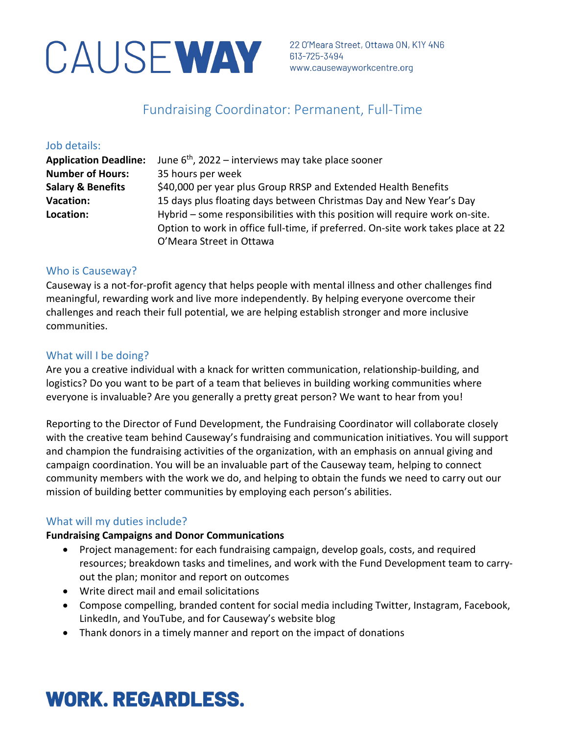# CAUSE WAY 22 O'Meara Street, Ottawa ON, K

22 O'Meara Street, Ottawa ON, K1Y 4N6

## Fundraising Coordinator: Permanent, Full-Time

#### Job details:

| <b>Application Deadline:</b> | June $6th$ , 2022 – interviews may take place sooner                             |
|------------------------------|----------------------------------------------------------------------------------|
| <b>Number of Hours:</b>      | 35 hours per week                                                                |
| <b>Salary &amp; Benefits</b> | \$40,000 per year plus Group RRSP and Extended Health Benefits                   |
| <b>Vacation:</b>             | 15 days plus floating days between Christmas Day and New Year's Day              |
| Location:                    | Hybrid – some responsibilities with this position will require work on-site.     |
|                              | Option to work in office full-time, if preferred. On-site work takes place at 22 |
|                              | O'Meara Street in Ottawa                                                         |

### Who is Causeway?

Causeway is a not-for-profit agency that helps people with mental illness and other challenges find meaningful, rewarding work and live more independently. By helping everyone overcome their challenges and reach their full potential, we are helping establish stronger and more inclusive communities.

### What will I be doing?

Are you a creative individual with a knack for written communication, relationship-building, and logistics? Do you want to be part of a team that believes in building working communities where everyone is invaluable? Are you generally a pretty great person? We want to hear from you!

Reporting to the Director of Fund Development, the Fundraising Coordinator will collaborate closely with the creative team behind Causeway's fundraising and communication initiatives. You will support and champion the fundraising activities of the organization, with an emphasis on annual giving and campaign coordination. You will be an invaluable part of the Causeway team, helping to connect community members with the work we do, and helping to obtain the funds we need to carry out our mission of building better communities by employing each person's abilities.

### What will my duties include?

#### **Fundraising Campaigns and Donor Communications**

- Project management: for each fundraising campaign, develop goals, costs, and required resources; breakdown tasks and timelines, and work with the Fund Development team to carryout the plan; monitor and report on outcomes
- Write direct mail and email solicitations
- Compose compelling, branded content for social media including Twitter, Instagram, Facebook, LinkedIn, and YouTube, and for Causeway's website blog
- Thank donors in a timely manner and report on the impact of donations

# **WORK. REGARDLESS.**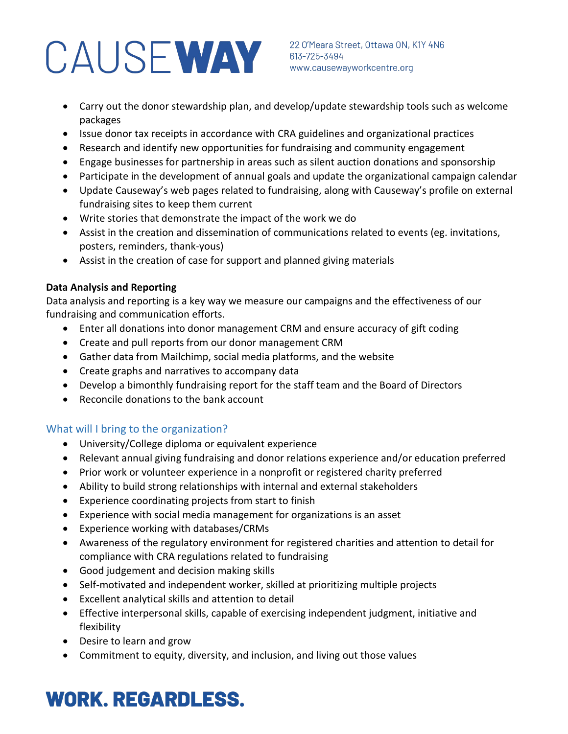# CAUSE WAY 313-725-3494<br>WAY 613-725-3494<br>WWW.causewayworkcentre.org

22 O'Meara Street, Ottawa ON, K1Y 4N6

- Carry out the donor stewardship plan, and develop/update stewardship tools such as welcome packages
- Issue donor tax receipts in accordance with CRA guidelines and organizational practices
- Research and identify new opportunities for fundraising and community engagement
- Engage businesses for partnership in areas such as silent auction donations and sponsorship
- Participate in the development of annual goals and update the organizational campaign calendar
- Update Causeway's web pages related to fundraising, along with Causeway's profile on external fundraising sites to keep them current
- Write stories that demonstrate the impact of the work we do
- Assist in the creation and dissemination of communications related to events (eg. invitations, posters, reminders, thank-yous)
- Assist in the creation of case for support and planned giving materials

### **Data Analysis and Reporting**

Data analysis and reporting is a key way we measure our campaigns and the effectiveness of our fundraising and communication efforts.

- Enter all donations into donor management CRM and ensure accuracy of gift coding
- Create and pull reports from our donor management CRM
- Gather data from Mailchimp, social media platforms, and the website
- Create graphs and narratives to accompany data
- Develop a bimonthly fundraising report for the staff team and the Board of Directors
- Reconcile donations to the bank account

## What will I bring to the organization?

- University/College diploma or equivalent experience
- Relevant annual giving fundraising and donor relations experience and/or education preferred
- Prior work or volunteer experience in a nonprofit or registered charity preferred
- Ability to build strong relationships with internal and external stakeholders
- Experience coordinating projects from start to finish
- Experience with social media management for organizations is an asset
- Experience working with databases/CRMs
- Awareness of the regulatory environment for registered charities and attention to detail for compliance with CRA regulations related to fundraising
- Good judgement and decision making skills
- Self-motivated and independent worker, skilled at prioritizing multiple projects
- Excellent analytical skills and attention to detail
- Effective interpersonal skills, capable of exercising independent judgment, initiative and flexibility
- Desire to learn and grow
- Commitment to equity, diversity, and inclusion, and living out those values

# **WORK. REGARDLESS.**